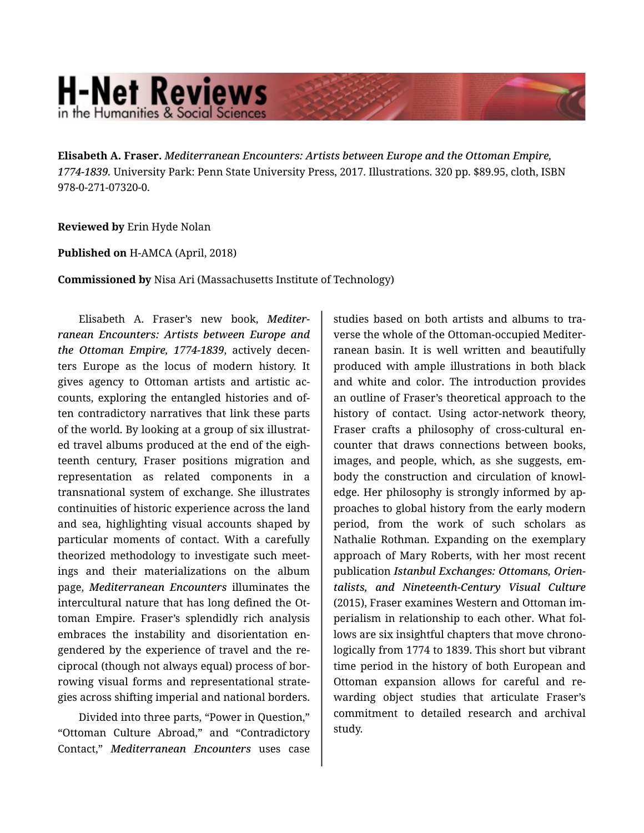## **H-Net Reviews** in the Humanities & Social Science

**Elisabeth A. Fraser.** *Mediterranean Encounters: Artists between Europe and the Ottoman Empire, 1774-1839.* University Park: Penn State University Press, 2017. Illustrations. 320 pp. \$89.95, cloth, ISBN 978-0-271-07320-0.

## **Reviewed by** Erin Hyde Nolan

## **Published on** H-AMCA (April, 2018)

**Commissioned by** Nisa Ari (Massachusetts Institute of Technology)

Elisabeth A. Fraser's new book, *Mediter‐ ranean Encounters: Artists between Europe and the Ottoman Empire, 1774-1839*, actively decen‐ ters Europe as the locus of modern history. It gives agency to Ottoman artists and artistic ac‐ counts, exploring the entangled histories and of‐ ten contradictory narratives that link these parts of the world. By looking at a group of six illustrat‐ ed travel albums produced at the end of the eigh‐ teenth century, Fraser positions migration and representation as related components in a transnational system of exchange. She illustrates continuities of historic experience across the land and sea, highlighting visual accounts shaped by particular moments of contact. With a carefully theorized methodology to investigate such meet‐ ings and their materializations on the album page, *Mediterranean Encounters* illuminates the intercultural nature that has long defined the Ot‐ toman Empire. Fraser's splendidly rich analysis embraces the instability and disorientation en‐ gendered by the experience of travel and the re‐ ciprocal (though not always equal) process of bor‐ rowing visual forms and representational strate‐ gies across shifting imperial and national borders.

Divided into three parts, "Power in Question," "Ottoman Culture Abroad," and "Contradictory Contact," *Mediterranean Encounters* uses case

studies based on both artists and albums to tra‐ verse the whole of the Ottoman-occupied Mediter‐ ranean basin. It is well written and beautifully produced with ample illustrations in both black and white and color. The introduction provides an outline of Fraser's theoretical approach to the history of contact. Using actor-network theory, Fraser crafts a philosophy of cross-cultural en‐ counter that draws connections between books, images, and people, which, as she suggests, em‐ body the construction and circulation of knowl‐ edge. Her philosophy is strongly informed by ap‐ proaches to global history from the early modern period, from the work of such scholars as Nathalie Rothman. Expanding on the exemplary approach of Mary Roberts, with her most recent publication *Istanbul Exchanges: Ottomans, Orien‐ talists, and Nineteenth-Century Visual Culture* (2015), Fraser examines Western and Ottoman im‐ perialism in relationship to each other. What fol‐ lows are six insightful chapters that move chrono‐ logically from 1774 to 1839. This short but vibrant time period in the history of both European and Ottoman expansion allows for careful and re‐ warding object studies that articulate Fraser's commitment to detailed research and archival study.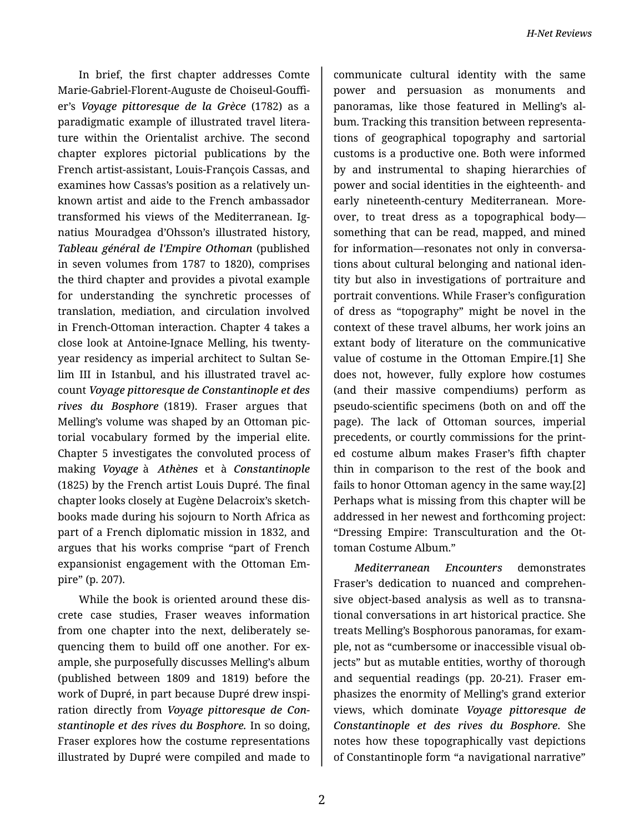In brief, the first chapter addresses Comte Marie-Gabriel-Florent-Auguste de Choiseul-Gouffi‐ er's *Voyage pittoresque de la Grèce* (1782) as a paradigmatic example of illustrated travel litera‐ ture within the Orientalist archive. The second chapter explores pictorial publications by the French artist-assistant, Louis-François Cassas, and examines how Cassas's position as a relatively un‐ known artist and aide to the French ambassador transformed his views of the Mediterranean. Ig‐ natius Mouradgea d'Ohsson's illustrated history, *Tableau général de l'Empire Othoman* (published in seven volumes from 1787 to 1820), comprises the third chapter and provides a pivotal example for understanding the synchretic processes of translation, mediation, and circulation involved in French-Ottoman interaction. Chapter 4 takes a close look at Antoine-Ignace Melling, his twentyyear residency as imperial architect to Sultan Se‐ lim III in Istanbul, and his illustrated travel ac‐ count *Voyage pittoresque de Constantinople et des rives du Bosphore* (1819). Fraser argues that Melling's volume was shaped by an Ottoman pic‐ torial vocabulary formed by the imperial elite. Chapter 5 investigates the convoluted process of making *Voyage* à *Athènes* et à *Constantinople* (1825) by the French artist Louis Dupré. The final chapter looks closely at Eugène Delacroix's sketch‐ books made during his sojourn to North Africa as part of a French diplomatic mission in 1832, and argues that his works comprise "part of French expansionist engagement with the Ottoman Em‐ pire" (p. 207).

While the book is oriented around these dis‐ crete case studies, Fraser weaves information from one chapter into the next, deliberately sequencing them to build off one another. For ex‐ ample, she purposefully discusses Melling's album (published between 1809 and 1819) before the work of Dupré, in part because Dupré drew inspi‐ ration directly from *Voyage pittoresque de Con‐ stantinople et des rives du Bosphore.* In so doing, Fraser explores how the costume representations illustrated by Dupré were compiled and made to

communicate cultural identity with the same power and persuasion as monuments and panoramas, like those featured in Melling's al‐ bum. Tracking this transition between representa‐ tions of geographical topography and sartorial customs is a productive one. Both were informed by and instrumental to shaping hierarchies of power and social identities in the eighteenth- and early nineteenth-century Mediterranean. More‐ over, to treat dress as a topographical body something that can be read, mapped, and mined for information—resonates not only in conversa‐ tions about cultural belonging and national iden‐ tity but also in investigations of portraiture and portrait conventions. While Fraser's configuration of dress as "topography" might be novel in the context of these travel albums, her work joins an extant body of literature on the communicative value of costume in the Ottoman Empire.[1] She does not, however, fully explore how costumes (and their massive compendiums) perform as pseudo-scientific specimens (both on and off the page). The lack of Ottoman sources, imperial precedents, or courtly commissions for the print‐ ed costume album makes Fraser's fifth chapter thin in comparison to the rest of the book and fails to honor Ottoman agency in the same way.[2] Perhaps what is missing from this chapter will be addressed in her newest and forthcoming project: "Dressing Empire: Transculturation and the Ot‐ toman Costume Album."

*Mediterranean Encounters* demonstrates Fraser's dedication to nuanced and comprehen‐ sive object-based analysis as well as to transna‐ tional conversations in art historical practice. She treats Melling's Bosphorous panoramas, for exam‐ ple, not as "cumbersome or inaccessible visual ob‐ jects" but as mutable entities, worthy of thorough and sequential readings (pp. 20-21). Fraser em‐ phasizes the enormity of Melling's grand exterior views, which dominate *Voyage pittoresque de Constantinople et des rives du Bosphore*. She notes how these topographically vast depictions of Constantinople form "a navigational narrative"

2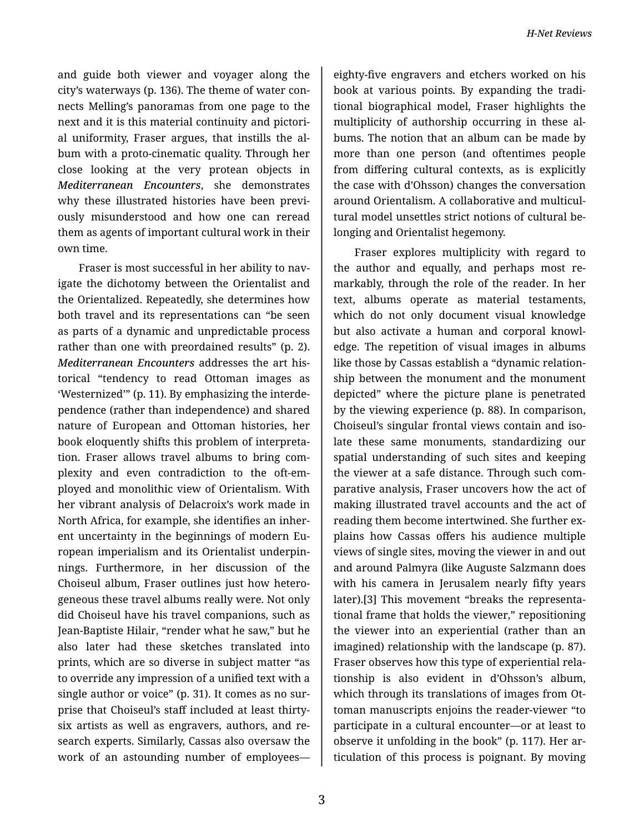and guide both viewer and voyager along the city's waterways (p. 136). The theme of water con‐ nects Melling's panoramas from one page to the next and it is this material continuity and pictori‐ al uniformity, Fraser argues, that instills the al‐ bum with a proto-cinematic quality. Through her close looking at the very protean objects in *Mediterranean Encounters*, she demonstrates why these illustrated histories have been previ‐ ously misunderstood and how one can reread them as agents of important cultural work in their own time.

Fraser is most successful in her ability to nav‐ igate the dichotomy between the Orientalist and the Orientalized. Repeatedly, she determines how both travel and its representations can "be seen as parts of a dynamic and unpredictable process rather than one with preordained results" (p. 2). *Mediterranean Encounters* addresses the art his‐ torical "tendency to read Ottoman images as 'Westernized'" (p. 11). By emphasizing the interde‐ pendence (rather than independence) and shared nature of European and Ottoman histories, her book eloquently shifts this problem of interpreta‐ tion. Fraser allows travel albums to bring com‐ plexity and even contradiction to the oft-em‐ ployed and monolithic view of Orientalism. With her vibrant analysis of Delacroix's work made in North Africa, for example, she identifies an inher‐ ent uncertainty in the beginnings of modern Eu‐ ropean imperialism and its Orientalist underpin‐ nings. Furthermore, in her discussion of the Choiseul album, Fraser outlines just how hetero‐ geneous these travel albums really were. Not only did Choiseul have his travel companions, such as Jean-Baptiste Hilair, "render what he saw," but he also later had these sketches translated into prints, which are so diverse in subject matter "as to override any impression of a unified text with a single author or voice" (p. 31). It comes as no surprise that Choiseul's staff included at least thirtysix artists as well as engravers, authors, and re‐ search experts. Similarly, Cassas also oversaw the work of an astounding number of employees—

eighty-five engravers and etchers worked on his book at various points. By expanding the tradi‐ tional biographical model, Fraser highlights the multiplicity of authorship occurring in these al‐ bums. The notion that an album can be made by more than one person (and oftentimes people from differing cultural contexts, as is explicitly the case with d'Ohsson) changes the conversation around Orientalism. A collaborative and multicul‐ tural model unsettles strict notions of cultural be‐ longing and Orientalist hegemony.

Fraser explores multiplicity with regard to the author and equally, and perhaps most re‐ markably, through the role of the reader. In her text, albums operate as material testaments, which do not only document visual knowledge but also activate a human and corporal knowl‐ edge. The repetition of visual images in albums like those by Cassas establish a "dynamic relation‐ ship between the monument and the monument depicted" where the picture plane is penetrated by the viewing experience (p. 88). In comparison, Choiseul's singular frontal views contain and iso‐ late these same monuments, standardizing our spatial understanding of such sites and keeping the viewer at a safe distance. Through such com‐ parative analysis, Fraser uncovers how the act of making illustrated travel accounts and the act of reading them become intertwined. She further ex‐ plains how Cassas offers his audience multiple views of single sites, moving the viewer in and out and around Palmyra (like Auguste Salzmann does with his camera in Jerusalem nearly fifty years later).[3] This movement "breaks the representa‐ tional frame that holds the viewer," repositioning the viewer into an experiential (rather than an imagined) relationship with the landscape (p. 87). Fraser observes how this type of experiential rela‐ tionship is also evident in d'Ohsson's album, which through its translations of images from Ot‐ toman manuscripts enjoins the reader-viewer "to participate in a cultural encounter—or at least to observe it unfolding in the book" (p. 117). Her ar‐ ticulation of this process is poignant. By moving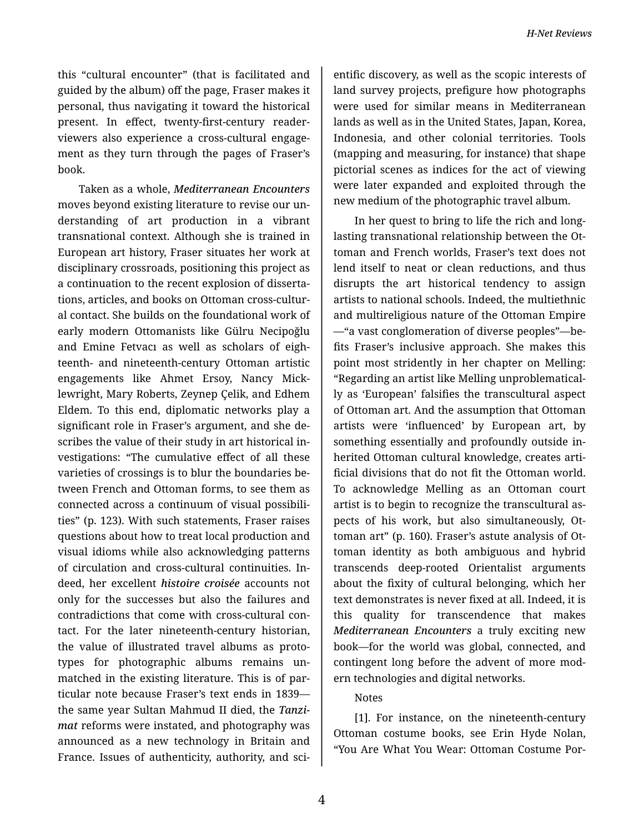this "cultural encounter" (that is facilitated and guided by the album) off the page, Fraser makes it personal, thus navigating it toward the historical present. In effect, twenty-first-century readerviewers also experience a cross-cultural engage‐ ment as they turn through the pages of Fraser's book.

Taken as a whole, *Mediterranean Encounters* moves beyond existing literature to revise our un‐ derstanding of art production in a vibrant transnational context. Although she is trained in European art history, Fraser situates her work at disciplinary crossroads, positioning this project as a continuation to the recent explosion of disserta‐ tions, articles, and books on Ottoman cross-cultur‐ al contact. She builds on the foundational work of early modern Ottomanists like Gülru Necipoğlu and Emine Fetvacı as well as scholars of eigh‐ teenth- and nineteenth-century Ottoman artistic engagements like Ahmet Ersoy, Nancy Mick‐ lewright, Mary Roberts, Zeynep Çelik, and Edhem Eldem. To this end, diplomatic networks play a significant role in Fraser's argument, and she de‐ scribes the value of their study in art historical in‐ vestigations: "The cumulative effect of all these varieties of crossings is to blur the boundaries be‐ tween French and Ottoman forms, to see them as connected across a continuum of visual possibili‐ ties" (p. 123). With such statements, Fraser raises questions about how to treat local production and visual idioms while also acknowledging patterns of circulation and cross-cultural continuities. In‐ deed, her excellent *histoire croisée* accounts not only for the successes but also the failures and contradictions that come with cross-cultural con‐ tact. For the later nineteenth-century historian, the value of illustrated travel albums as proto‐ types for photographic albums remains un‐ matched in the existing literature. This is of par‐ ticular note because Fraser's text ends in 1839 the same year Sultan Mahmud II died, the *Tanzi‐ mat* reforms were instated, and photography was announced as a new technology in Britain and France. Issues of authenticity, authority, and sci‐

entific discovery, as well as the scopic interests of land survey projects, prefigure how photographs were used for similar means in Mediterranean lands as well as in the United States, Japan, Korea, Indonesia, and other colonial territories. Tools (mapping and measuring, for instance) that shape pictorial scenes as indices for the act of viewing were later expanded and exploited through the new medium of the photographic travel album.

In her quest to bring to life the rich and longlasting transnational relationship between the Ot‐ toman and French worlds, Fraser's text does not lend itself to neat or clean reductions, and thus disrupts the art historical tendency to assign artists to national schools. Indeed, the multiethnic and multireligious nature of the Ottoman Empire —"a vast conglomeration of diverse peoples"—be‐ fits Fraser's inclusive approach. She makes this point most stridently in her chapter on Melling: "Regarding an artist like Melling unproblematical‐ ly as 'European' falsifies the transcultural aspect of Ottoman art. And the assumption that Ottoman artists were 'influenced' by European art, by something essentially and profoundly outside in‐ herited Ottoman cultural knowledge, creates arti‐ ficial divisions that do not fit the Ottoman world. To acknowledge Melling as an Ottoman court artist is to begin to recognize the transcultural as‐ pects of his work, but also simultaneously, Ot‐ toman art" (p. 160). Fraser's astute analysis of Ot‐ toman identity as both ambiguous and hybrid transcends deep-rooted Orientalist arguments about the fixity of cultural belonging, which her text demonstrates is never fixed at all. Indeed, it is this quality for transcendence that makes *Mediterranean Encounters* a truly exciting new book—for the world was global, connected, and contingent long before the advent of more mod‐ ern technologies and digital networks.

## Notes

[1]. For instance, on the nineteenth-century Ottoman costume books, see Erin Hyde Nolan, "You Are What You Wear: Ottoman Costume Por‐